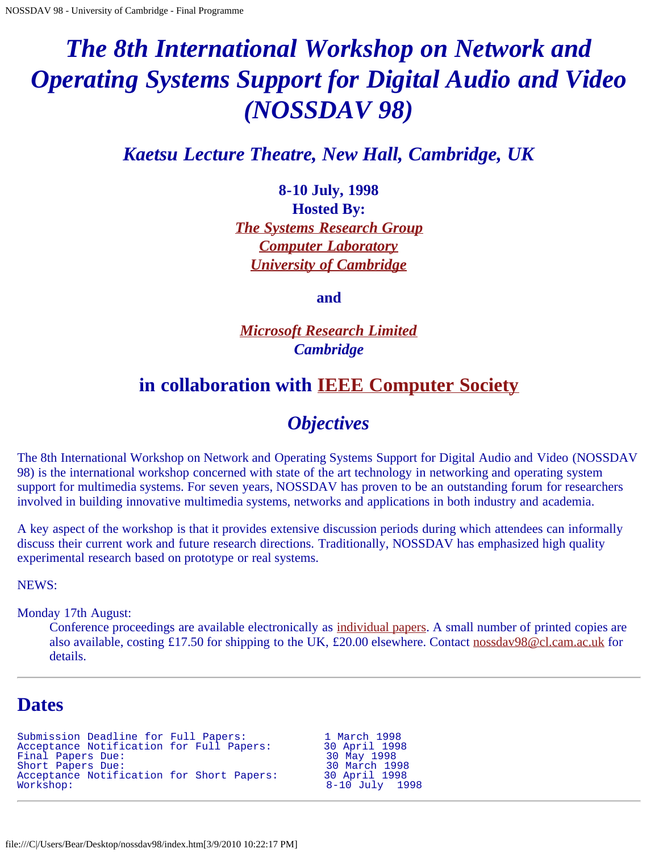# <span id="page-0-0"></span>*The 8th International Workshop on Network and Operating Systems Support for Digital Audio and Video (NOSSDAV 98)*

*Kaetsu Lecture Theatre, New Hall, Cambridge, UK*

**8-10 July, 1998 Hosted By:** *[The Systems Research Group](javascript:if(confirm() [Computer Laboratory](javascript:if(confirm() [University of Cambridge](javascript:if(confirm()*

**and**

*[Microsoft Research Limited](javascript:if(confirm() Cambridge*

# **in collaboration with [IEEE Computer Society](javascript:if(confirm()**

# *Objectives*

The 8th International Workshop on Network and Operating Systems Support for Digital Audio and Video (NOSSDAV 98) is the international workshop concerned with state of the art technology in networking and operating system support for multimedia systems. For seven years, NOSSDAV has proven to be an outstanding forum for researchers involved in building innovative multimedia systems, networks and applications in both industry and academia.

A key aspect of the workshop is that it provides extensive discussion periods during which attendees can informally discuss their current work and future research directions. Traditionally, NOSSDAV has emphasized high quality experimental research based on prototype or real systems.

NEWS:

Monday 17th August:

Conference proceedings are available electronically as [individual papers](#page-0-0). A small number of printed copies are also available, costing £17.50 for shipping to the UK, £20.00 elsewhere. Contact [nossdav98@cl.cam.ac.uk](mailto:nossdav98@cl.cam.ac.uk) for details.

# **Dates**

```
Submission Deadline for Full Papers:             1 March 1998<br>Acceptance Notification for Full Papers:         30 April 1998
Acceptance Notification for Full Papers: 30 April 1998
Final Papers Due: 30 May 1998
Short Papers Due: 30 March 1998
Acceptance Notification for Short Papers: 30 April 1998<br>Workshop: 3-10 July
```
8-10 July 1998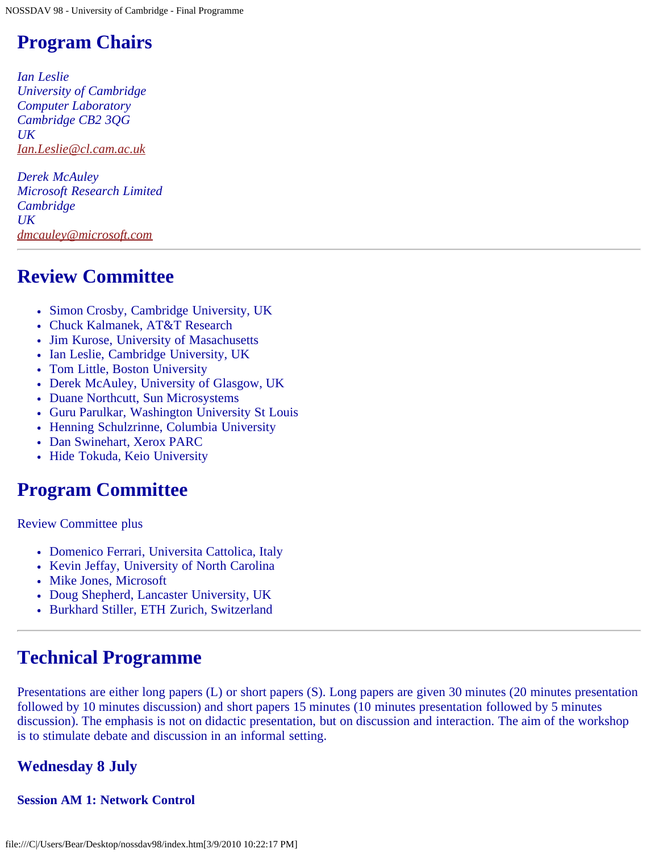# **Program Chairs**

*Ian Leslie University of Cambridge Computer Laboratory Cambridge CB2 3QG UK [Ian.Leslie@cl.cam.ac.uk](mailto:Ian.Leslie@cl.cam.ac.uk)*

*Derek McAuley Microsoft Research Limited Cambridge UK [dmcauley@microsoft.com](mailto:dmcauley@microsoft.com)*

# **Review Committee**

- Simon Crosby, Cambridge University, UK
- Chuck Kalmanek, AT&T Research
- Jim Kurose, University of Masachusetts
- Ian Leslie, Cambridge University, UK
- Tom Little, Boston University
- Derek McAuley, University of Glasgow, UK
- Duane Northcutt, Sun Microsystems
- Guru Parulkar, Washington University St Louis
- Henning Schulzrinne, Columbia University
- Dan Swinehart, Xerox PARC
- Hide Tokuda, Keio University

# **Program Committee**

Review Committee plus

- Domenico Ferrari, Universita Cattolica, Italy
- Kevin Jeffay, University of North Carolina
- Mike Jones, Microsoft
- Doug Shepherd, Lancaster University, UK
- Burkhard Stiller, ETH Zurich, Switzerland

# **Technical Programme**

Presentations are either long papers (L) or short papers (S). Long papers are given 30 minutes (20 minutes presentation followed by 10 minutes discussion) and short papers 15 minutes (10 minutes presentation followed by 5 minutes discussion). The emphasis is not on didactic presentation, but on discussion and interaction. The aim of the workshop is to stimulate debate and discussion in an informal setting.

# **Wednesday 8 July**

# **Session AM 1: Network Control**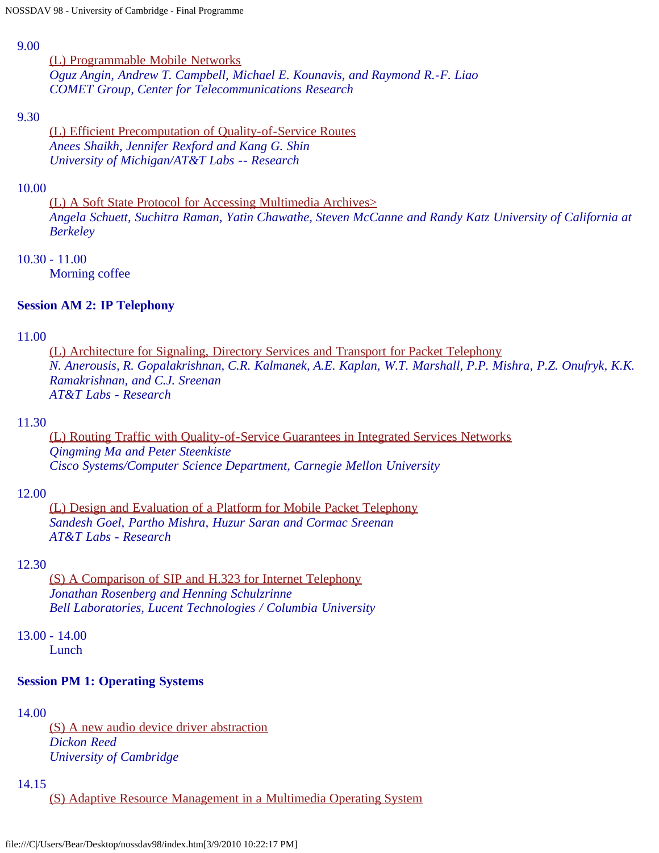#### 9.00

[\(L\) Programmable Mobile Networks](file:///C|/Users/Bear/Desktop/nossdav98/nossdav98-027.ps.gz) *Oguz Angin, Andrew T. Campbell, Michael E. Kounavis, and Raymond R.-F. Liao COMET Group, Center for Telecommunications Research*

#### 9.30

[\(L\) Efficient Precomputation of Quality-of-Service Routes](file:///C|/Users/Bear/Desktop/nossdav98/nossdav98-030.ps.gz) *Anees Shaikh, Jennifer Rexford and Kang G. Shin University of Michigan/AT&T Labs -- Research*

#### 10.00

[\(L\) A Soft State Protocol for Accessing Multimedia Archives>](file:///C|/Users/Bear/Desktop/nossdav98/nossdav98-037.ps.gz) *Angela Schuett, Suchitra Raman, Yatin Chawathe, Steven McCanne and Randy Katz University of California at Berkeley*

#### 10.30 - 11.00

Morning coffee

#### **Session AM 2: IP Telephony**

#### 11.00

[\(L\) Architecture for Signaling, Directory Services and Transport for Packet Telephony](file:///C|/Users/Bear/Desktop/nossdav98/nossdav98-021.ps.gz) *N. Anerousis, R. Gopalakrishnan, C.R. Kalmanek, A.E. Kaplan, W.T. Marshall, P.P. Mishra, P.Z. Onufryk, K.K. Ramakrishnan, and C.J. Sreenan AT&T Labs - Research*

#### 11.30

[\(L\) Routing Traffic with Quality-of-Service Guarantees in Integrated Services Networks](file:///C|/Users/Bear/Desktop/nossdav98/nossdav98-031.ps.gz) *Qingming Ma and Peter Steenkiste Cisco Systems/Computer Science Department, Carnegie Mellon University*

#### 12.00

[\(L\) Design and Evaluation of a Platform for Mobile Packet Telephony](file:///C|/Users/Bear/Desktop/nossdav98/nossdav98-036.ps.gz) *Sandesh Goel, Partho Mishra, Huzur Saran and Cormac Sreenan AT&T Labs - Research*

#### 12.30

[\(S\) A Comparison of SIP and H.323 for Internet Telephony](file:///C|/Users/Bear/Desktop/nossdav98/nossdav98-043.ps.gz) *Jonathan Rosenberg and Henning Schulzrinne Bell Laboratories, Lucent Technologies / Columbia University*

13.00 - 14.00

Lunch

#### **Session PM 1: Operating Systems**

#### 14.00

[\(S\) A new audio device driver abstraction](file:///C|/Users/Bear/Desktop/nossdav98/nossdav98-039.ps.gz) *Dickon Reed University of Cambridge*

#### 14.15

[\(S\) Adaptive Resource Management in a Multimedia Operating System](file:///C|/Users/Bear/Desktop/nossdav98/nossdav98-049.ps.gz)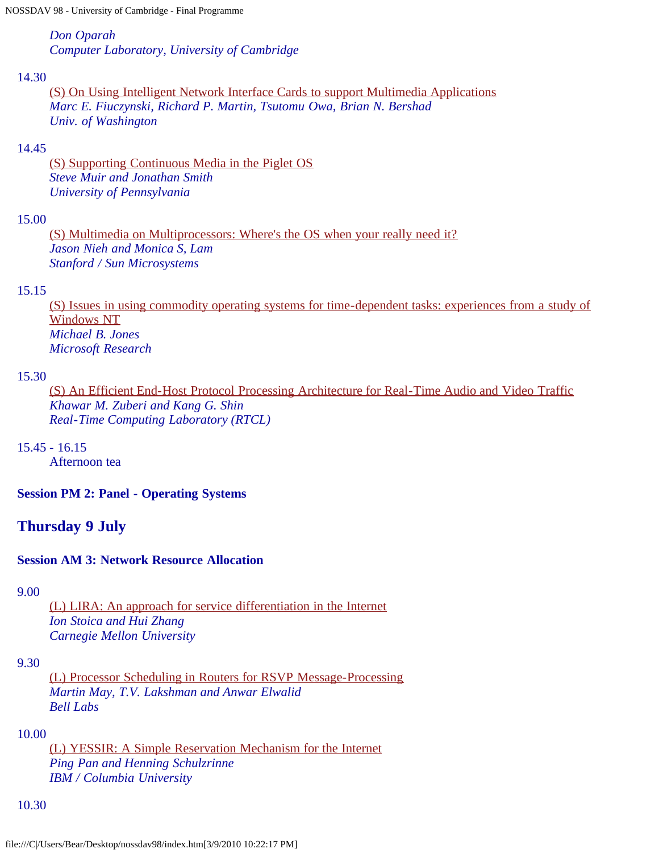*Don Oparah Computer Laboratory, University of Cambridge*

#### 14.30

[\(S\) On Using Intelligent Network Interface Cards to support Multimedia Applications](file:///C|/Users/Bear/Desktop/nossdav98/nossdav98-060.ps.gz) *Marc E. Fiuczynski, Richard P. Martin, Tsutomu Owa, Brian N. Bershad Univ. of Washington*

### 14.45

[\(S\) Supporting Continuous Media in the Piglet OS](file:///C|/Users/Bear/Desktop/nossdav98/nossdav98-072.ps.gz) *Steve Muir and Jonathan Smith University of Pennsylvania*

### 15.00

[\(S\) Multimedia on Multiprocessors: Where's the OS when your really need it?](file:///C|/Users/Bear/Desktop/nossdav98/nossdav98-078.ps.gz) *Jason Nieh and Monica S, Lam Stanford / Sun Microsystems*

#### 15.15

[\(S\) Issues in using commodity operating systems for time-dependent tasks: experiences from a study of](file:///C|/Users/Bear/Desktop/nossdav98/nossdav98-079.ps.gz) [Windows NT](file:///C|/Users/Bear/Desktop/nossdav98/nossdav98-079.ps.gz) *Michael B. Jones Microsoft Research*

#### 15.30

[\(S\) An Efficient End-Host Protocol Processing Architecture for Real-Time Audio and Video Traffic](file:///C|/Users/Bear/Desktop/nossdav98/nossdav98-009.ps.gz) *Khawar M. Zuberi and Kang G. Shin Real-Time Computing Laboratory (RTCL)*

15.45 - 16.15

Afternoon tea

**Session PM 2: Panel - Operating Systems**

# **Thursday 9 July**

# **Session AM 3: Network Resource Allocation**

9.00

[\(L\) LIRA: An approach for service differentiation in the Internet](file:///C|/Users/Bear/Desktop/nossdav98/nossdav98-024.ps.gz) *Ion Stoica and Hui Zhang Carnegie Mellon University*

#### 9.30

[\(L\) Processor Scheduling in Routers for RSVP Message-Processing](file:///C|/Users/Bear/Desktop/nossdav98/nossdav98-026.ps.gz) *Martin May, T.V. Lakshman and Anwar Elwalid Bell Labs*

#### 10.00

[\(L\) YESSIR: A Simple Reservation Mechanism for the Internet](file:///C|/Users/Bear/Desktop/nossdav98/nossdav98-032.ps.gz) *Ping Pan and Henning Schulzrinne IBM / Columbia University*

#### 10.30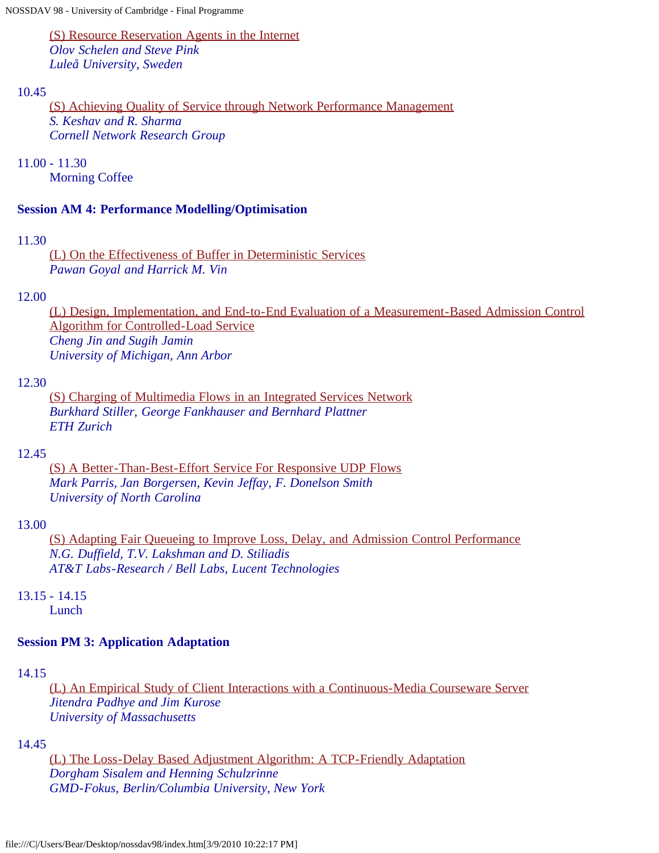[\(S\) Resource Reservation Agents in the Internet](file:///C|/Users/Bear/Desktop/nossdav98/nossdav98-052.ps.gz) *Olov Schelen and Steve Pink Luleå University, Sweden*

#### 10.45

[\(S\) Achieving Quality of Service through Network Performance Management](file:///C|/Users/Bear/Desktop/nossdav98/nossdav98-056.ps.gz) *S. Keshav and R. Sharma Cornell Network Research Group*

11.00 - 11.30

Morning Coffee

#### **Session AM 4: Performance Modelling/Optimisation**

#### 11.30

[\(L\) On the Effectiveness of Buffer in Deterministic Services](file:///C|/Users/Bear/Desktop/nossdav98/nossdav98-020.ps.gz) *Pawan Goyal and Harrick M. Vin*

#### 12.00

[\(L\) Design, Implementation, and End-to-End Evaluation of a Measurement-Based Admission Control](file:///C|/Users/Bear/Desktop/nossdav98/nossdav98-035.ps.gz) [Algorithm for Controlled-Load Service](file:///C|/Users/Bear/Desktop/nossdav98/nossdav98-035.ps.gz) *Cheng Jin and Sugih Jamin University of Michigan, Ann Arbor*

#### 12.30

[\(S\) Charging of Multimedia Flows in an Integrated Services Network](file:///C|/Users/Bear/Desktop/nossdav98/nossdav98-050.ps.gz) *Burkhard Stiller, George Fankhauser and Bernhard Plattner ETH Zurich*

#### 12.45

[\(S\) A Better-Than-Best-Effort Service For Responsive UDP Flows](file:///C|/Users/Bear/Desktop/nossdav98/nossdav98-062.ps.gz) *Mark Parris, Jan Borgersen, Kevin Jeffay, F. Donelson Smith University of North Carolina*

#### 13.00

[\(S\) Adapting Fair Queueing to Improve Loss, Delay, and Admission Control Performance](file:///C|/Users/Bear/Desktop/nossdav98/nossdav98-075.ps.gz) *N.G. Duffield, T.V. Lakshman and D. Stiliadis AT&T Labs-Research / Bell Labs, Lucent Technologies*

# 13.15 - 14.15

Lunch

# **Session PM 3: Application Adaptation**

# 14.15

[\(L\) An Empirical Study of Client Interactions with a Continuous-Media Courseware Server](file:///C|/Users/Bear/Desktop/nossdav98/nossdav98-018.ps.gz) *Jitendra Padhye and Jim Kurose University of Massachusetts*

#### 14.45

[\(L\) The Loss-Delay Based Adjustment Algorithm: A TCP-Friendly Adaptation](file:///C|/Users/Bear/Desktop/nossdav98/nossdav98-033.ps.gz) *Dorgham Sisalem and Henning Schulzrinne GMD-Fokus, Berlin/Columbia University, New York*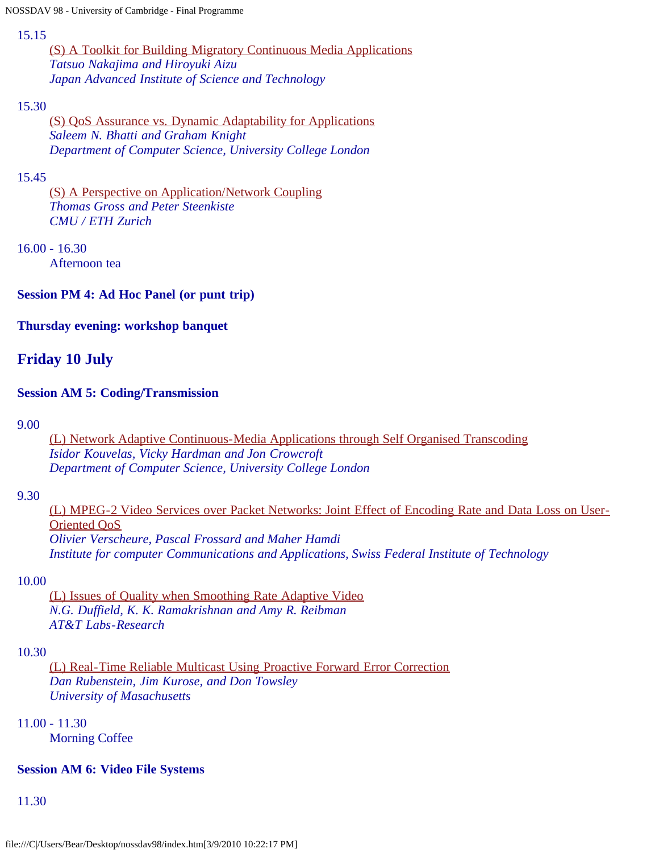#### 15.15

[\(S\) A Toolkit for Building Migratory Continuous Media Applications](file:///C|/Users/Bear/Desktop/nossdav98/nossdav98-038.ps.gz) *Tatsuo Nakajima and Hiroyuki Aizu Japan Advanced Institute of Science and Technology*

# 15.30

[\(S\) QoS Assurance vs. Dynamic Adaptability for Applications](file:///C|/Users/Bear/Desktop/nossdav98/nossdav98-046.ps.gz) *Saleem N. Bhatti and Graham Knight Department of Computer Science, University College London*

# 15.45

[\(S\) A Perspective on Application/Network Coupling](file:///C|/Users/Bear/Desktop/nossdav98/nossdav98-065.ps.gz) *Thomas Gross and Peter Steenkiste CMU / ETH Zurich*

# 16.00 - 16.30

Afternoon tea

# **Session PM 4: Ad Hoc Panel (or punt trip)**

# **Thursday evening: workshop banquet**

# **Friday 10 July**

# **Session AM 5: Coding/Transmission**

9.00

[\(L\) Network Adaptive Continuous-Media Applications through Self Organised Transcoding](file:///C|/Users/Bear/Desktop/nossdav98/nossdav98-004.ps.gz) *Isidor Kouvelas, Vicky Hardman and Jon Crowcroft Department of Computer Science, University College London*

# 9.30

[\(L\) MPEG-2 Video Services over Packet Networks: Joint Effect of Encoding Rate and Data Loss on User-](file:///C|/Users/Bear/Desktop/nossdav98/nossdav98-010.ps.gz)[Oriented QoS](file:///C|/Users/Bear/Desktop/nossdav98/nossdav98-010.ps.gz) *Olivier Verscheure, Pascal Frossard and Maher Hamdi Institute for computer Communications and Applications, Swiss Federal Institute of Technology*

# 10.00

[\(L\) Issues of Quality when Smoothing Rate Adaptive Video](file:///C|/Users/Bear/Desktop/nossdav98/nossdav98-015.ps.gz) *N.G. Duffield, K. K. Ramakrishnan and Amy R. Reibman AT&T Labs-Research*

# 10.30

[\(L\) Real-Time Reliable Multicast Using Proactive Forward Error Correction](file:///C|/Users/Bear/Desktop/nossdav98/nossdav98-025.ps.gz) *Dan Rubenstein, Jim Kurose, and Don Towsley University of Masachusetts*

# 11.00 - 11.30

Morning Coffee

# **Session AM 6: Video File Systems**

11.30